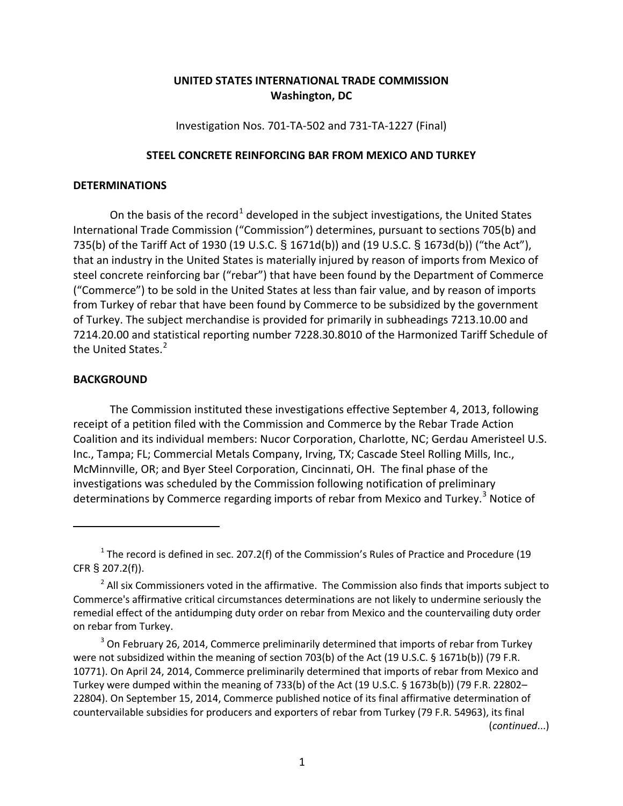## **UNITED STATES INTERNATIONAL TRADE COMMISSION Washington, DC**

Investigation Nos. 701-TA-502 and 731-TA-1227 (Final)

## **STEEL CONCRETE REINFORCING BAR FROM MEXICO AND TURKEY**

## **DETERMINATIONS**

On the basis of the record<sup>[1](#page-0-0)</sup> developed in the subject investigations, the United States International Trade Commission ("Commission") determines, pursuant to sections 705(b) and 735(b) of the Tariff Act of 1930 (19 U.S.C. § 1671d(b)) and (19 U.S.C. § 1673d(b)) ("the Act"), that an industry in the United States is materially injured by reason of imports from Mexico of steel concrete reinforcing bar ("rebar") that have been found by the Department of Commerce ("Commerce") to be sold in the United States at less than fair value, and by reason of imports from Turkey of rebar that have been found by Commerce to be subsidized by the government of Turkey. The subject merchandise is provided for primarily in subheadings 7213.10.00 and 7214.20.00 and statistical reporting number 7228.30.8010 of the Harmonized Tariff Schedule of the United States.<sup>[2](#page-0-1)</sup>

## **BACKGROUND**

 $\overline{a}$ 

The Commission instituted these investigations effective September 4, 2013, following receipt of a petition filed with the Commission and Commerce by the Rebar Trade Action Coalition and its individual members: Nucor Corporation, Charlotte, NC; Gerdau Ameristeel U.S. Inc., Tampa; FL; Commercial Metals Company, Irving, TX; Cascade Steel Rolling Mills, Inc., McMinnville, OR; and Byer Steel Corporation, Cincinnati, OH. The final phase of the investigations was scheduled by the Commission following notification of preliminary determinations by Commerce regarding imports of rebar from Mexico and Turkey.<sup>[3](#page-0-2)</sup> Notice of

<span id="page-0-2"></span> $3$  On February 26, 2014, Commerce preliminarily determined that imports of rebar from Turkey were not subsidized within the meaning of section 703(b) of the Act (19 U.S.C. § 1671b(b)) (79 F.R. 10771). On April 24, 2014, Commerce preliminarily determined that imports of rebar from Mexico and Turkey were dumped within the meaning of 733(b) of the Act (19 U.S.C. § 1673b(b)) (79 F.R. 22802– 22804). On September 15, 2014, Commerce published notice of its final affirmative determination of countervailable subsidies for producers and exporters of rebar from Turkey (79 F.R. 54963), its final (*continued*...)

<span id="page-0-0"></span> $1$  The record is defined in sec. 207.2(f) of the Commission's Rules of Practice and Procedure (19 CFR § 207.2(f)).

<span id="page-0-1"></span> $2$  All six Commissioners voted in the affirmative. The Commission also finds that imports subject to Commerce's affirmative critical circumstances determinations are not likely to undermine seriously the remedial effect of the antidumping duty order on rebar from Mexico and the countervailing duty order on rebar from Turkey.